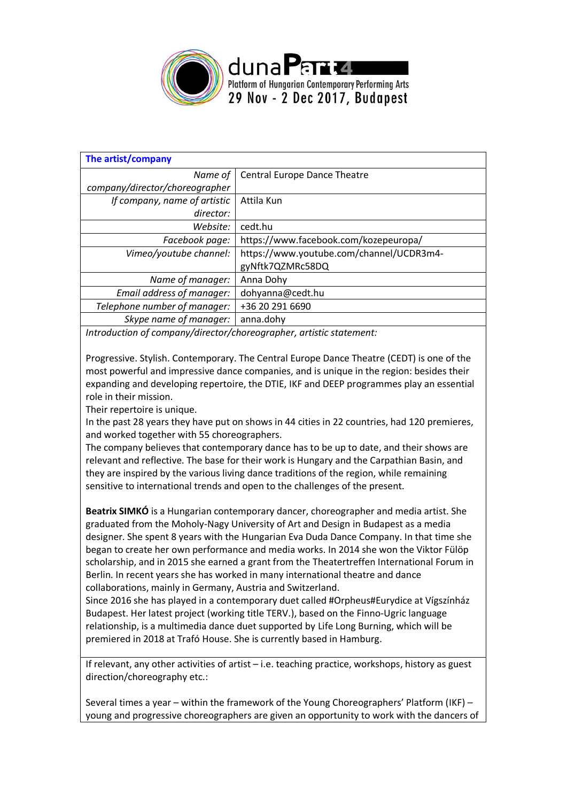

| The artist/company             |                                          |
|--------------------------------|------------------------------------------|
| Name of                        | <b>Central Europe Dance Theatre</b>      |
| company/director/choreographer |                                          |
| If company, name of artistic   | Attila Kun                               |
| director:                      |                                          |
| Website:                       | cedt.hu                                  |
| Facebook page:                 | https://www.facebook.com/kozepeuropa/    |
| Vimeo/youtube channel:         | https://www.youtube.com/channel/UCDR3m4- |
|                                | gyNftk7QZMRc58DQ                         |
| Name of manager:               | Anna Dohy                                |
| Email address of manager:      | dohyanna@cedt.hu                         |
| Telephone number of manager:   | +36 20 291 6690                          |
| Skype name of manager:         | anna.dohy                                |

*Introduction of company/director/choreographer, artistic statement:*

Progressive. Stylish. Contemporary. The Central Europe Dance Theatre (CEDT) is one of the most powerful and impressive dance companies, and is unique in the region: besides their expanding and developing repertoire, the DTIE, IKF and DEEP programmes play an essential role in their mission.

Their repertoire is unique.

In the past 28 years they have put on shows in 44 cities in 22 countries, had 120 premieres, and worked together with 55 choreographers.

The company believes that contemporary dance has to be up to date, and their shows are relevant and reflective. The base for their work is Hungary and the Carpathian Basin, and they are inspired by the various living dance traditions of the region, while remaining sensitive to international trends and open to the challenges of the present.

**Beatrix SIMKÓ** is a Hungarian contemporary dancer, choreographer and media artist. She graduated from the Moholy-Nagy University of Art and Design in Budapest as a media designer. She spent 8 years with the Hungarian Eva Duda Dance Company. In that time she began to create her own performance and media works. In 2014 she won the Viktor Fülöp scholarship, and in 2015 she earned a grant from the Theatertreffen International Forum in Berlin. In recent years she has worked in many international theatre and dance collaborations, mainly in Germany, Austria and Switzerland.

Since 2016 she has played in a contemporary duet called #Orpheus#Eurydice at Vígszínház Budapest. Her latest project (working title TERV.), based on the Finno-Ugric language relationship, is a multimedia dance duet supported by Life Long Burning, which will be premiered in 2018 at Trafó House. She is currently based in Hamburg.

If relevant, any other activities of artist – i.e. teaching practice, workshops, history as guest direction/choreography etc.:

Several times a year – within the framework of the Young Choreographers' Platform (IKF) – young and progressive choreographers are given an opportunity to work with the dancers of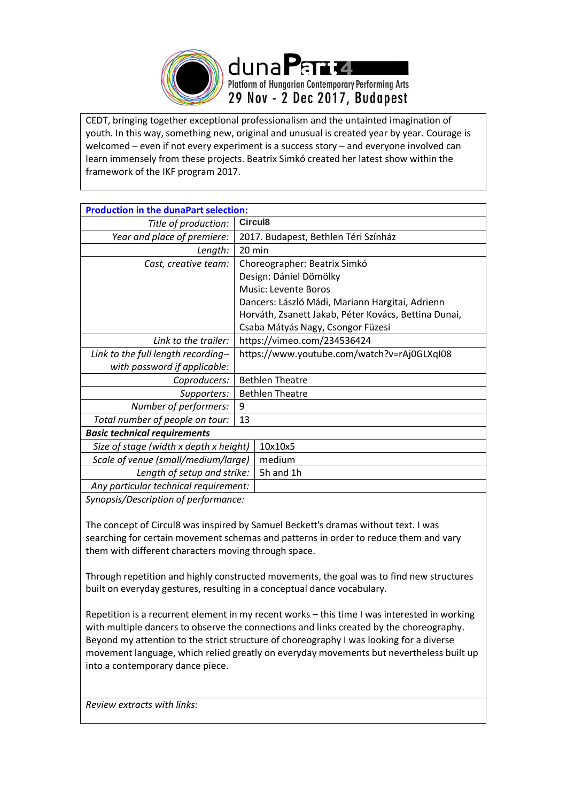

CEDT, bringing together exceptional professionalism and the untainted imagination of youth. In this way, something new, original and unusual is created year by year. Courage is welcomed – even if not every experiment is a success story – and everyone involved can learn immensely from these projects. Beatrix Simkó created her latest show within the framework of the IKF program 2017.

| <b>Production in the dunaPart selection:</b> |                                                      |  |  |  |
|----------------------------------------------|------------------------------------------------------|--|--|--|
| Title of production:                         | Circul <sub>8</sub>                                  |  |  |  |
| Year and place of premiere:                  | 2017. Budapest, Bethlen Téri Színház                 |  |  |  |
| Length:                                      | 20 min                                               |  |  |  |
| Cast, creative team:                         | Choreographer: Beatrix Simkó                         |  |  |  |
|                                              | Design: Dániel Dömölky                               |  |  |  |
|                                              | <b>Music: Levente Boros</b>                          |  |  |  |
|                                              | Dancers: László Mádi, Mariann Hargitai, Adrienn      |  |  |  |
|                                              | Horváth, Zsanett Jakab, Péter Kovács, Bettina Dunai, |  |  |  |
|                                              | Csaba Mátyás Nagy, Csongor Füzesi                    |  |  |  |
| Link to the trailer:                         | https://vimeo.com/234536424                          |  |  |  |
| Link to the full length recording-           | https://www.youtube.com/watch?v=rAj0GLXqI08          |  |  |  |
| with password if applicable:                 |                                                      |  |  |  |
| Coproducers:                                 | <b>Bethlen Theatre</b>                               |  |  |  |
| Supporters:                                  | <b>Bethlen Theatre</b>                               |  |  |  |
| Number of performers:                        | 9                                                    |  |  |  |
| Total number of people on tour:              | 13                                                   |  |  |  |
| <b>Basic technical requirements</b>          |                                                      |  |  |  |
| Size of stage (width x depth x height)       | 10x10x5                                              |  |  |  |
| Scale of venue (small/medium/large)          | medium                                               |  |  |  |
| Length of setup and strike:                  | 5h and 1h                                            |  |  |  |
| Any particular technical requirement:        |                                                      |  |  |  |

*Synopsis/Description of performance:*

The concept of Circul8 was inspired by Samuel Beckett's dramas without text. I was searching for certain movement schemas and patterns in order to reduce them and vary them with different characters moving through space.

Through repetition and highly constructed movements, the goal was to find new structures built on everyday gestures, resulting in a conceptual dance vocabulary.

Repetition is a recurrent element in my recent works – this time I was interested in working with multiple dancers to observe the connections and links created by the choreography. Beyond my attention to the strict structure of choreography I was looking for a diverse movement language, which relied greatly on everyday movements but nevertheless built up into a contemporary dance piece.

*Review extracts with links:*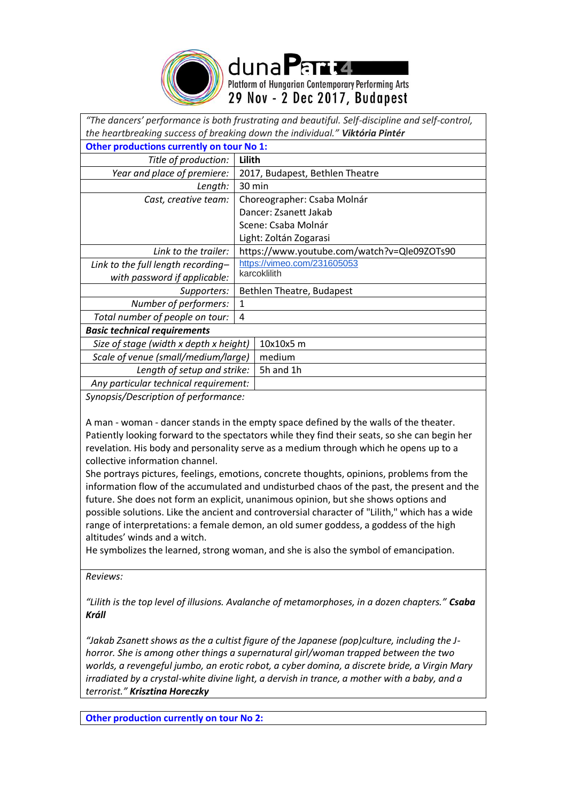

Platform of Hungarian Contemporary Performing Arts 29 Nov - 2 Dec 2017, Budapest

| "The dancers' performance is both frustrating and beautiful. Self-discipline and self-control, |                                             |  |  |  |
|------------------------------------------------------------------------------------------------|---------------------------------------------|--|--|--|
| the heartbreaking success of breaking down the individual." Viktória Pintér                    |                                             |  |  |  |
| Other productions currently on tour No 1:                                                      |                                             |  |  |  |
| Title of production:                                                                           | Lilith                                      |  |  |  |
| Year and place of premiere:                                                                    | 2017, Budapest, Bethlen Theatre             |  |  |  |
| Length:                                                                                        | 30 min                                      |  |  |  |
| Cast, creative team:                                                                           | Choreographer: Csaba Molnár                 |  |  |  |
|                                                                                                | Dancer: Zsanett Jakab                       |  |  |  |
|                                                                                                | Scene: Csaba Molnár                         |  |  |  |
|                                                                                                | Light: Zoltán Zogarasi                      |  |  |  |
| Link to the trailer:                                                                           | https://www.youtube.com/watch?v=Qle09ZOTs90 |  |  |  |
| Link to the full length recording-                                                             | https://vimeo.com/231605053                 |  |  |  |
| with password if applicable:                                                                   | karcoklilith                                |  |  |  |
| Supporters:                                                                                    | Bethlen Theatre, Budapest                   |  |  |  |
| Number of performers:                                                                          | $\mathbf{1}$                                |  |  |  |
| Total number of people on tour:                                                                | 4                                           |  |  |  |
| <b>Basic technical requirements</b>                                                            |                                             |  |  |  |
| Size of stage (width x depth x height)                                                         | 10x10x5 m                                   |  |  |  |
| Scale of venue (small/medium/large)                                                            | medium                                      |  |  |  |
| Length of setup and strike:                                                                    | 5h and 1h                                   |  |  |  |
| Any particular technical requirement:                                                          |                                             |  |  |  |
| Synopsis/Description of performance:                                                           |                                             |  |  |  |

A man - woman - dancer stands in the empty space defined by the walls of the theater. Patiently looking forward to the spectators while they find their seats, so she can begin her revelation. His body and personality serve as a medium through which he opens up to a collective information channel.

She portrays pictures, feelings, emotions, concrete thoughts, opinions, problems from the information flow of the accumulated and undisturbed chaos of the past, the present and the future. She does not form an explicit, unanimous opinion, but she shows options and possible solutions. Like the ancient and controversial character of "Lilith," which has a wide range of interpretations: a female demon, an old sumer goddess, a goddess of the high altitudes' winds and a witch.

He symbolizes the learned, strong woman, and she is also the symbol of emancipation.

*Reviews:*

*"Lilith is the top level of illusions. Avalanche of metamorphoses, in a dozen chapters." Csaba Králl*

*"Jakab Zsanett shows as the a cultist figure of the Japanese (pop)culture, including the Jhorror. She is among other things a supernatural girl/woman trapped between the two worlds, a revengeful jumbo, an erotic robot, a cyber domina, a discrete bride, a Virgin Mary irradiated by a crystal-white divine light, a dervish in trance, a mother with a baby, and a terrorist." Krisztina Horeczky*

**Other production currently on tour No 2:**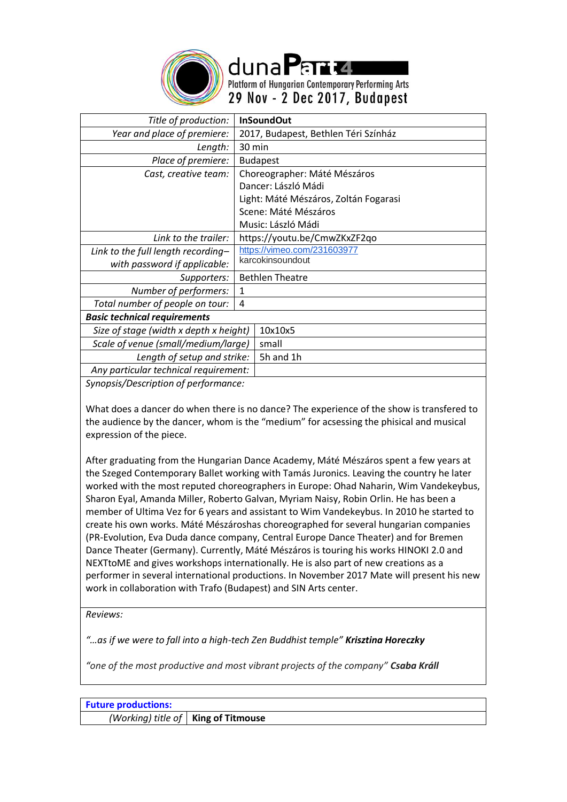

duna Part 4 Platform of Hungarian Contemporary Performing Arts 29 Nov - 2 Dec 2017, Budapest

*Title of production:* **InSoundOut** *Year and place of premiere:* 2017, Budapest, Bethlen Téri Színház *Length:* 30 min *Place of premiere:* Budapest *Cast, creative team:* | Choreographer: Máté Mészáros Dancer: László Mádi Light: Máté Mészáros, Zoltán Fogarasi Scene: Máté Mészáros Music: László Mádi *Link to the trailer:* https://youtu.be/CmwZKxZF2qo *Link to the full length recording– with password if applicable:*  <https://vimeo.com/231603977> karcokinsoundout *Supporters:* | Bethlen Theatre *Number of performers:* 1 *Total number of people on tour:* 4 *Basic technical requirements Size of stage (width x depth x height)* 10x10x5 *Scale of venue (small/medium/large)* small *Length of setup and strike:* 5h and 1h *Any particular technical requirement:*

*Synopsis/Description of performance:*

What does a dancer do when there is no dance? The experience of the show is transfered to the audience by the dancer, whom is the "medium" for acsessing the phisical and musical expression of the piece.

After graduating from the Hungarian Dance Academy, Máté Mészáros spent a few years at the Szeged Contemporary Ballet working with Tamás Juronics. Leaving the country he later worked with the most reputed choreographers in Europe: Ohad Naharin, Wim Vandekeybus, Sharon Eyal, Amanda Miller, Roberto Galvan, Myriam Naisy, Robin Orlin. He has been a member of Ultima Vez for 6 years and assistant to Wim Vandekeybus. In 2010 he started to create his own works. Máté Mészároshas choreographed for several hungarian companies (PR-Evolution, Eva Duda dance company, Central Europe Dance Theater) and for Bremen Dance Theater (Germany). Currently, Máté Mészáros is touring his works HINOKI 2.0 and NEXTtoME and gives workshops internationally. He is also part of new creations as a performer in several international productions. In November 2017 Mate will present his new work in collaboration with Trafo (Budapest) and SIN Arts center.

*Reviews:*

*"…as if we were to fall into a high-tech Zen Buddhist temple" Krisztina Horeczky*

*"one of the most productive and most vibrant projects of the company" Csaba Králl*

| <b>Future productions:</b> |                                       |
|----------------------------|---------------------------------------|
|                            | (Working) title of   King of Titmouse |